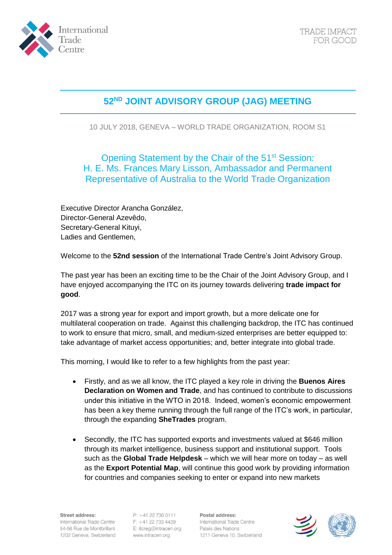

## **52ND JOINT ADVISORY GROUP (JAG) MEETING**

10 JULY 2018, GENEVA – WORLD TRADE ORGANIZATION, ROOM S1

Opening Statement by the Chair of the 51<sup>st</sup> Session: H. E. Ms. Frances Mary Lisson, Ambassador and Permanent Representative of Australia to the World Trade Organization

Executive Director Arancha González, Director-General Azevêdo, Secretary-General Kituyi, Ladies and Gentlemen,

Welcome to the **52nd session** of the International Trade Centre's Joint Advisory Group.

The past year has been an exciting time to be the Chair of the Joint Advisory Group, and I have enjoyed accompanying the ITC on its journey towards delivering **trade impact for good**.

2017 was a strong year for export and import growth, but a more delicate one for multilateral cooperation on trade. Against this challenging backdrop, the ITC has continued to work to ensure that micro, small, and medium-sized enterprises are better equipped to: take advantage of market access opportunities; and, better integrate into global trade.

This morning, I would like to refer to a few highlights from the past year:

- Firstly, and as we all know, the ITC played a key role in driving the **Buenos Aires Declaration on Women and Trade**, and has continued to contribute to discussions under this initiative in the WTO in 2018. Indeed, women's economic empowerment has been a key theme running through the full range of the ITC's work, in particular, through the expanding **SheTrades** program.
- Secondly, the ITC has supported exports and investments valued at \$646 million through its market intelligence, business support and institutional support. Tools such as the **Global Trade Helpdesk** – which we will hear more on today – as well as the **Export Potential Map**, will continue this good work by providing information for countries and companies seeking to enter or expand into new markets

Street address: International Trade Centre 54-56 Rue de Montbrillant 1202 Geneva, Switzerland

P: +41 22 730 0111 F: +41 22 733 4439 E: itcreg@intracen.org www.intracen.org

Postal address: International Trade Centre Palais des Nations 1211 Geneva 10, Switzerland